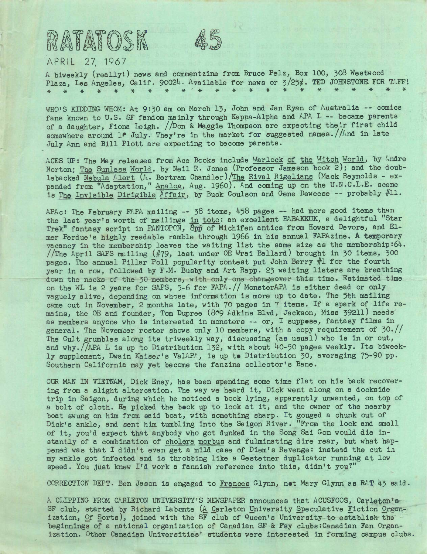

## APRIL 27, 1967

RATATOSK

<sup>A</sup> biweekly (really'.) news and commentzine from Bruce Pelz, Box 100, J08 Westwood Plaza, Les Angeles, Calif. 90024. Available for news or 3/25¢. TED JOHNSTONE FOR TAFF! \*\*\*\*\*\*\*\*\*'\*\*\*\*\*\*\*\*\*\*\*\*\*

WHO'S KIDDING WHOM: At 9:30 am on March 13, John and Jan Ryan of Australia -- comics fans known to U.S. SF fandom mainly through Kappa-Alpha and APA L -- became parents of <sup>a</sup> daughter, Fiona Leigh. //Don & Maggie Thompson are expecting their first child somewhere around 1<sup>*.*</sup> July. They're in the market for suggested names.//And in late July Ann and Bill Plott are expecting to become parents.

ACES UP: The May releases from Ace Books include Warlock of the Witch World, by Andre Norton; The Sunless World, by Neil R. Jones (Professor Jameson book 2); and the doublebacked Nebula Alert (A. Bertram Chandler)/The Rival Rigelians (Mack Reynolds - expanded from "Adaptation," Analog, Aug. 1960). And coming up on the U.N.C.L.E. scene is The Invisible Dirigible Affair, by Buck Coulson and Gene Deweese — probably #11.

APAc: The February FAPA mailing -- 38 items, 458 pages -- had more good items than the last year's worth of mailings in toto: an excellent HABAKKUK, <sup>a</sup> delightful "Star Trek" fantasy script in PANTOPON, Epp of Michifen antics from Howard Devore, and Elmer Perdue's highly readable ramble through 1966 in his annual FAPAzine, **<sup>A</sup>** temporary vacancy in the membership leaves the waiting list the same size as the membership:64. //The April SAPS mailing (#79, last under OE Wrai Ballard) brought in 30 items, 300 pages. The annual Pillar Poll popularity contest put John Berry #1 for the fourth year in <sup>a</sup> row, followed by F.M. Busby and Art Rapp. <sup>23</sup> waiting listers are breathing down the necks of the 30 members, with only one changeover this time. Estimated time on the WL is 2 years for SAPS, 5-6 for FAPA.// MonsterAPA is either dead or only vaguely alive, depending on whose information is more up to date. The 5th mailing came out in November, 2 months late, with 70 pages in 7 items. If a spark of life remains, the OE and founder, Tom Dupree (809 Adkins Blvd, Jackson, Miss 39211) needs' as members anyone who is interested in monsters — or, I suppose, fantasy films in general. The November roster shows only 10 members, with <sup>a</sup> copy requirement of 30.// The Cult grumbles along its triweekly way, discussing (as usual) who is in or out, and why.//APA <sup>L</sup> is up to Distribution 132, with about 40-50 pages weekly. Its biweekly supplement, Dwain Kaiser's ValAPA, is up to Distribution 30, averaging 75-90 pp. Southern California may yet become the fanzine collector's Bane.

OUR MAN IN VIETNAM, Dick Eney, has been spending some time flat on his back recovering from <sup>a</sup> slight altercation, The way we heard it, Dick went along on <sup>a</sup> dockside trip in Saigon, during which he noticed <sup>a</sup> book lying, apparently unwanted, on top of a bolt of cloth. He picked the book up to look at it, and the owner of the nearby boat swung on him from said boat, with something sharp. It gouged <sup>a</sup> chunk out of Dick's ankle, and sent him tumbling into the Saigon River. "From the look and smell of it, you'd expect that anybody who got dunked in the Song Sai Gon would die instantly of a combination of cholera morbus and fulminating dire rear, but what happened was that I didn't even get a mild case of Diem's Revenge: instead the cut in my ankle got infected and is throbbing like <sup>a</sup> Gestetner duplicator running at low speed. You just knew I'<sup>d</sup> work <sup>a</sup> fannlsh reference into this, didn't you?"

CORRECTION DEPT. Ben Jason is engaged to Frances Glynn, net Mary Glynn'as MT <sup>43</sup> said.

A CLIPPING FROM CARLETON UNIVERSITY'S NEWSPAPER announces that ACUSFOOS, Carleton's SF club, started by Richard Labonte (A Carleton University Speculative Fiction Organization, Of Sorts), Joined with the SF club of Queen's University to establish the beginnings of a national organization of Canadian SF & Fsy clubs:Canadian Fan Organization. Other Canadian Universities' students were interested in forming campus clubs.